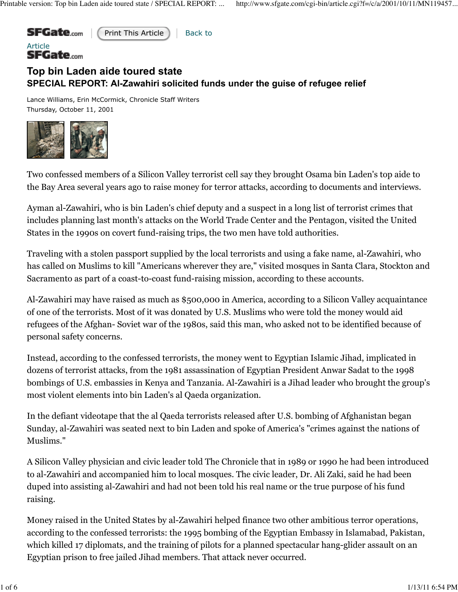

 ${\mathsf S}{\mathsf F}{\mathsf G}{\mathsf a}{\mathsf t}{\mathsf e}_{\mathsf{com}}$ 

Print This Article | Back to

## **Top bin Laden aide toured state SPECIAL REPORT: Al-Zawahiri solicited funds under the guise of refugee relief**

Lance Williams, Erin McCormick, Chronicle Staff Writers Thursday, October 11, 2001



Two confessed members of a Silicon Valley terrorist cell say they brought Osama bin Laden's top aide to the Bay Area several years ago to raise money for terror attacks, according to documents and interviews.

Ayman al-Zawahiri, who is bin Laden's chief deputy and a suspect in a long list of terrorist crimes that includes planning last month's attacks on the World Trade Center and the Pentagon, visited the United States in the 1990s on covert fund-raising trips, the two men have told authorities.

Traveling with a stolen passport supplied by the local terrorists and using a fake name, al-Zawahiri, who has called on Muslims to kill "Americans wherever they are," visited mosques in Santa Clara, Stockton and Sacramento as part of a coast-to-coast fund-raising mission, according to these accounts.

Al-Zawahiri may have raised as much as \$500,000 in America, according to a Silicon Valley acquaintance of one of the terrorists. Most of it was donated by U.S. Muslims who were told the money would aid refugees of the Afghan- Soviet war of the 1980s, said this man, who asked not to be identified because of personal safety concerns.

Instead, according to the confessed terrorists, the money went to Egyptian Islamic Jihad, implicated in dozens of terrorist attacks, from the 1981 assassination of Egyptian President Anwar Sadat to the 1998 bombings of U.S. embassies in Kenya and Tanzania. Al-Zawahiri is a Jihad leader who brought the group's most violent elements into bin Laden's al Qaeda organization.

In the defiant videotape that the al Qaeda terrorists released after U.S. bombing of Afghanistan began Sunday, al-Zawahiri was seated next to bin Laden and spoke of America's "crimes against the nations of Muslims."

A Silicon Valley physician and civic leader told The Chronicle that in 1989 or 1990 he had been introduced to al-Zawahiri and accompanied him to local mosques. The civic leader, Dr. Ali Zaki, said he had been duped into assisting al-Zawahiri and had not been told his real name or the true purpose of his fund raising.

Money raised in the United States by al-Zawahiri helped finance two other ambitious terror operations, according to the confessed terrorists: the 1995 bombing of the Egyptian Embassy in Islamabad, Pakistan, which killed 17 diplomats, and the training of pilots for a planned spectacular hang-glider assault on an Egyptian prison to free jailed Jihad members. That attack never occurred.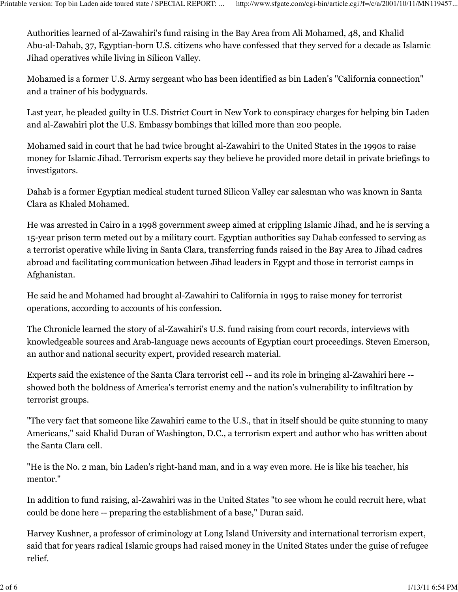Authorities learned of al-Zawahiri's fund raising in the Bay Area from Ali Mohamed, 48, and Khalid Abu-al-Dahab, 37, Egyptian-born U.S. citizens who have confessed that they served for a decade as Islamic Jihad operatives while living in Silicon Valley.

Mohamed is a former U.S. Army sergeant who has been identified as bin Laden's "California connection" and a trainer of his bodyguards.

Last year, he pleaded guilty in U.S. District Court in New York to conspiracy charges for helping bin Laden and al-Zawahiri plot the U.S. Embassy bombings that killed more than 200 people.

Mohamed said in court that he had twice brought al-Zawahiri to the United States in the 1990s to raise money for Islamic Jihad. Terrorism experts say they believe he provided more detail in private briefings to investigators.

Dahab is a former Egyptian medical student turned Silicon Valley car salesman who was known in Santa Clara as Khaled Mohamed.

He was arrested in Cairo in a 1998 government sweep aimed at crippling Islamic Jihad, and he is serving a 15-year prison term meted out by a military court. Egyptian authorities say Dahab confessed to serving as a terrorist operative while living in Santa Clara, transferring funds raised in the Bay Area to Jihad cadres abroad and facilitating communication between Jihad leaders in Egypt and those in terrorist camps in Afghanistan.

He said he and Mohamed had brought al-Zawahiri to California in 1995 to raise money for terrorist operations, according to accounts of his confession.

The Chronicle learned the story of al-Zawahiri's U.S. fund raising from court records, interviews with knowledgeable sources and Arab-language news accounts of Egyptian court proceedings. Steven Emerson, an author and national security expert, provided research material.

Experts said the existence of the Santa Clara terrorist cell -- and its role in bringing al-Zawahiri here - showed both the boldness of America's terrorist enemy and the nation's vulnerability to infiltration by terrorist groups.

"The very fact that someone like Zawahiri came to the U.S., that in itself should be quite stunning to many Americans," said Khalid Duran of Washington, D.C., a terrorism expert and author who has written about the Santa Clara cell.

"He is the No. 2 man, bin Laden's right-hand man, and in a way even more. He is like his teacher, his mentor."

In addition to fund raising, al-Zawahiri was in the United States "to see whom he could recruit here, what could be done here -- preparing the establishment of a base," Duran said.

Harvey Kushner, a professor of criminology at Long Island University and international terrorism expert, said that for years radical Islamic groups had raised money in the United States under the guise of refugee relief.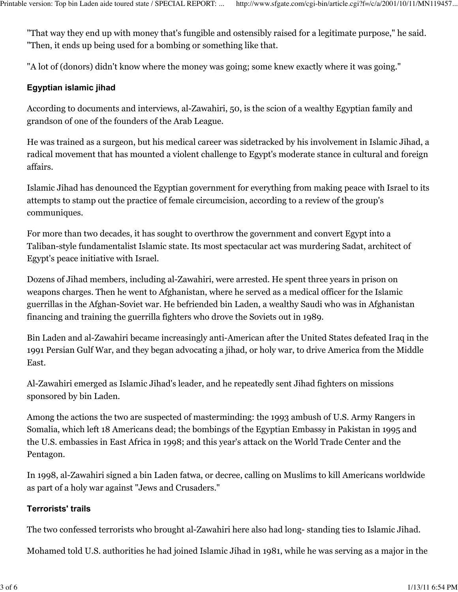"That way they end up with money that's fungible and ostensibly raised for a legitimate purpose," he said. "Then, it ends up being used for a bombing or something like that.

"A lot of (donors) didn't know where the money was going; some knew exactly where it was going."

## **Egyptian islamic jihad**

According to documents and interviews, al-Zawahiri, 50, is the scion of a wealthy Egyptian family and grandson of one of the founders of the Arab League.

He was trained as a surgeon, but his medical career was sidetracked by his involvement in Islamic Jihad, a radical movement that has mounted a violent challenge to Egypt's moderate stance in cultural and foreign affairs.

Islamic Jihad has denounced the Egyptian government for everything from making peace with Israel to its attempts to stamp out the practice of female circumcision, according to a review of the group's communiques.

For more than two decades, it has sought to overthrow the government and convert Egypt into a Taliban-style fundamentalist Islamic state. Its most spectacular act was murdering Sadat, architect of Egypt's peace initiative with Israel.

Dozens of Jihad members, including al-Zawahiri, were arrested. He spent three years in prison on weapons charges. Then he went to Afghanistan, where he served as a medical officer for the Islamic guerrillas in the Afghan-Soviet war. He befriended bin Laden, a wealthy Saudi who was in Afghanistan financing and training the guerrilla fighters who drove the Soviets out in 1989.

Bin Laden and al-Zawahiri became increasingly anti-American after the United States defeated Iraq in the 1991 Persian Gulf War, and they began advocating a jihad, or holy war, to drive America from the Middle East.

Al-Zawahiri emerged as Islamic Jihad's leader, and he repeatedly sent Jihad fighters on missions sponsored by bin Laden.

Among the actions the two are suspected of masterminding: the 1993 ambush of U.S. Army Rangers in Somalia, which left 18 Americans dead; the bombings of the Egyptian Embassy in Pakistan in 1995 and the U.S. embassies in East Africa in 1998; and this year's attack on the World Trade Center and the Pentagon.

In 1998, al-Zawahiri signed a bin Laden fatwa, or decree, calling on Muslims to kill Americans worldwide as part of a holy war against "Jews and Crusaders."

## **Terrorists' trails**

The two confessed terrorists who brought al-Zawahiri here also had long- standing ties to Islamic Jihad.

Mohamed told U.S. authorities he had joined Islamic Jihad in 1981, while he was serving as a major in the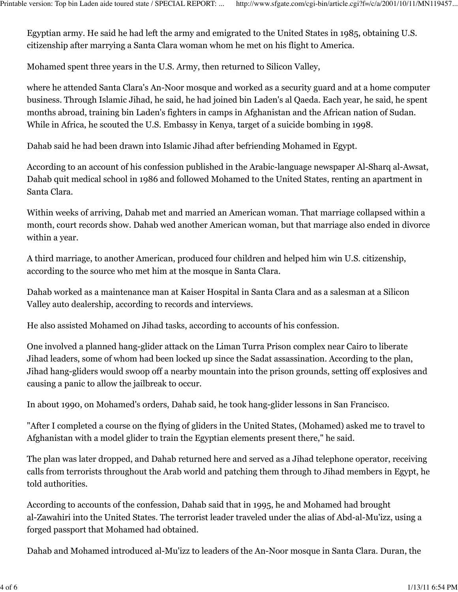Egyptian army. He said he had left the army and emigrated to the United States in 1985, obtaining U.S. citizenship after marrying a Santa Clara woman whom he met on his flight to America.

Mohamed spent three years in the U.S. Army, then returned to Silicon Valley,

where he attended Santa Clara's An-Noor mosque and worked as a security guard and at a home computer business. Through Islamic Jihad, he said, he had joined bin Laden's al Qaeda. Each year, he said, he spent months abroad, training bin Laden's fighters in camps in Afghanistan and the African nation of Sudan. While in Africa, he scouted the U.S. Embassy in Kenya, target of a suicide bombing in 1998.

Dahab said he had been drawn into Islamic Jihad after befriending Mohamed in Egypt.

According to an account of his confession published in the Arabic-language newspaper Al-Sharq al-Awsat, Dahab quit medical school in 1986 and followed Mohamed to the United States, renting an apartment in Santa Clara.

Within weeks of arriving, Dahab met and married an American woman. That marriage collapsed within a month, court records show. Dahab wed another American woman, but that marriage also ended in divorce within a year.

A third marriage, to another American, produced four children and helped him win U.S. citizenship, according to the source who met him at the mosque in Santa Clara.

Dahab worked as a maintenance man at Kaiser Hospital in Santa Clara and as a salesman at a Silicon Valley auto dealership, according to records and interviews.

He also assisted Mohamed on Jihad tasks, according to accounts of his confession.

One involved a planned hang-glider attack on the Liman Turra Prison complex near Cairo to liberate Jihad leaders, some of whom had been locked up since the Sadat assassination. According to the plan, Jihad hang-gliders would swoop off a nearby mountain into the prison grounds, setting off explosives and causing a panic to allow the jailbreak to occur.

In about 1990, on Mohamed's orders, Dahab said, he took hang-glider lessons in San Francisco.

"After I completed a course on the flying of gliders in the United States, (Mohamed) asked me to travel to Afghanistan with a model glider to train the Egyptian elements present there," he said.

The plan was later dropped, and Dahab returned here and served as a Jihad telephone operator, receiving calls from terrorists throughout the Arab world and patching them through to Jihad members in Egypt, he told authorities.

According to accounts of the confession, Dahab said that in 1995, he and Mohamed had brought al-Zawahiri into the United States. The terrorist leader traveled under the alias of Abd-al-Mu'izz, using a forged passport that Mohamed had obtained.

Dahab and Mohamed introduced al-Mu'izz to leaders of the An-Noor mosque in Santa Clara. Duran, the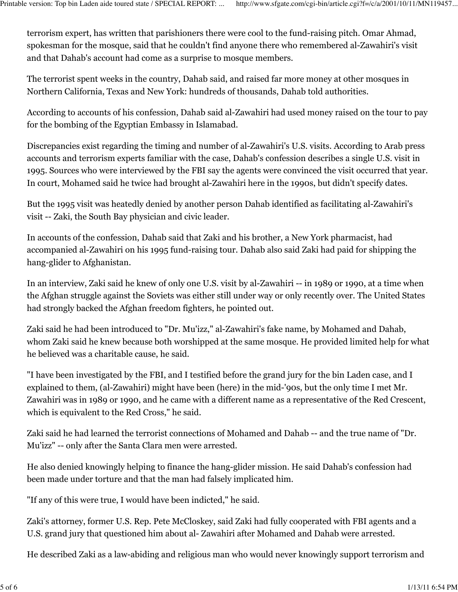terrorism expert, has written that parishioners there were cool to the fund-raising pitch. Omar Ahmad, spokesman for the mosque, said that he couldn't find anyone there who remembered al-Zawahiri's visit and that Dahab's account had come as a surprise to mosque members.

The terrorist spent weeks in the country, Dahab said, and raised far more money at other mosques in Northern California, Texas and New York: hundreds of thousands, Dahab told authorities.

According to accounts of his confession, Dahab said al-Zawahiri had used money raised on the tour to pay for the bombing of the Egyptian Embassy in Islamabad.

Discrepancies exist regarding the timing and number of al-Zawahiri's U.S. visits. According to Arab press accounts and terrorism experts familiar with the case, Dahab's confession describes a single U.S. visit in 1995. Sources who were interviewed by the FBI say the agents were convinced the visit occurred that year. In court, Mohamed said he twice had brought al-Zawahiri here in the 1990s, but didn't specify dates.

But the 1995 visit was heatedly denied by another person Dahab identified as facilitating al-Zawahiri's visit -- Zaki, the South Bay physician and civic leader.

In accounts of the confession, Dahab said that Zaki and his brother, a New York pharmacist, had accompanied al-Zawahiri on his 1995 fund-raising tour. Dahab also said Zaki had paid for shipping the hang-glider to Afghanistan.

In an interview, Zaki said he knew of only one U.S. visit by al-Zawahiri -- in 1989 or 1990, at a time when the Afghan struggle against the Soviets was either still under way or only recently over. The United States had strongly backed the Afghan freedom fighters, he pointed out.

Zaki said he had been introduced to "Dr. Mu'izz," al-Zawahiri's fake name, by Mohamed and Dahab, whom Zaki said he knew because both worshipped at the same mosque. He provided limited help for what he believed was a charitable cause, he said.

"I have been investigated by the FBI, and I testified before the grand jury for the bin Laden case, and I explained to them, (al-Zawahiri) might have been (here) in the mid-'90s, but the only time I met Mr. Zawahiri was in 1989 or 1990, and he came with a different name as a representative of the Red Crescent, which is equivalent to the Red Cross," he said.

Zaki said he had learned the terrorist connections of Mohamed and Dahab -- and the true name of "Dr. Mu'izz" -- only after the Santa Clara men were arrested.

He also denied knowingly helping to finance the hang-glider mission. He said Dahab's confession had been made under torture and that the man had falsely implicated him.

"If any of this were true, I would have been indicted," he said.

Zaki's attorney, former U.S. Rep. Pete McCloskey, said Zaki had fully cooperated with FBI agents and a U.S. grand jury that questioned him about al- Zawahiri after Mohamed and Dahab were arrested.

He described Zaki as a law-abiding and religious man who would never knowingly support terrorism and